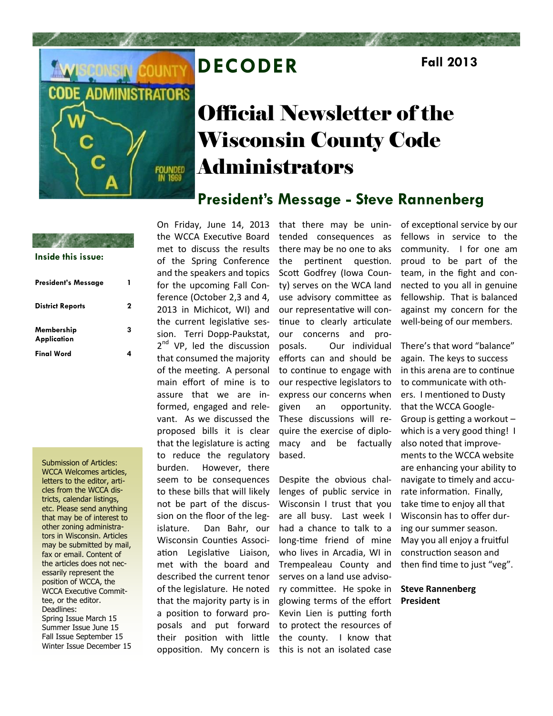

## **DECODER Fall 2013**

# Official Newsletter of the Wisconsin County Code Administrators

### **President's Message - Steve Rannenberg**

| Inside this issue:         |  |
|----------------------------|--|
| <b>President's Message</b> |  |

| <b>District Reports</b>          | 2 |
|----------------------------------|---|
| Membership<br><b>Application</b> | 3 |
| <b>Final Word</b>                |   |

Submission of Articles: WCCA Welcomes articles, letters to the editor, articles from the WCCA districts, calendar listings, etc. Please send anything that may be of interest to other zoning administrators in Wisconsin. Articles may be submitted by mail, fax or email. Content of the articles does not necessarily represent the position of WCCA, the WCCA Executive Committee, or the editor. Deadlines: Spring Issue March 15 Summer Issue June 15 Fall Issue September 15 Winter Issue December 15 On Friday, June 14, 2013 the WCCA Executive Board met to discuss the results of the Spring Conference and the speakers and topics for the upcoming Fall Conference (October 2,3 and 4, 2013 in Michicot, WI) and the current legislative session. Terri Dopp-Paukstat, 2<sup>nd</sup> VP, led the discussion that consumed the majority of the meeting. A personal main effort of mine is to assure that we are informed, engaged and relevant. As we discussed the proposed bills it is clear that the legislature is acting to reduce the regulatory burden. However, there seem to be consequences to these bills that will likely not be part of the discussion on the floor of the legislature. Dan Bahr, our Wisconsin Counties Association Legislative Liaison, met with the board and described the current tenor of the legislature. He noted that the majority party is in a position to forward proposals and put forward their position with little opposition. My concern is

that there may be unintended consequences as there may be no one to aks the pertinent question. Scott Godfrey (Iowa County) serves on the WCA land use advisory committee as our representative will continue to clearly articulate our concerns and proposals. Our individual efforts can and should be to continue to engage with our respective legislators to express our concerns when given an opportunity. These discussions will require the exercise of diplomacy and be factually based.

Despite the obvious challenges of public service in Wisconsin I trust that you are all busy. Last week I had a chance to talk to a long-time friend of mine who lives in Arcadia, WI in Trempealeau County and serves on a land use advisory committee. He spoke in glowing terms of the effort Kevin Lien is putting forth to protect the resources of the county. I know that this is not an isolated case

of exceptional service by our fellows in service to the community. I for one am proud to be part of the team, in the fight and connected to you all in genuine fellowship. That is balanced against my concern for the well-being of our members.

There's that word "balance" again. The keys to success in this arena are to continue to communicate with others. I mentioned to Dusty that the WCCA Google-Group is getting a workout – which is a very good thing! I also noted that improvements to the WCCA website are enhancing your ability to navigate to timely and accurate information. Finally, take time to enjoy all that Wisconsin has to offer during our summer season. May you all enjoy a fruitful construction season and then find time to just "veg".

#### **Steve Rannenberg President**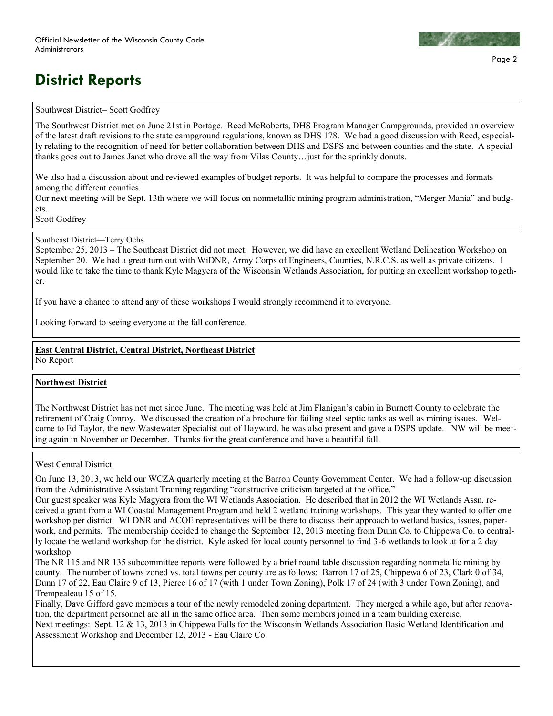## **District Reports**

#### Southwest District– Scott Godfrey

The Southwest District met on June 21st in Portage. Reed McRoberts, DHS Program Manager Campgrounds, provided an overview of the latest draft revisions to the state campground regulations, known as DHS 178. We had a good discussion with Reed, especially relating to the recognition of need for better collaboration between DHS and DSPS and between counties and the state. A special thanks goes out to James Janet who drove all the way from Vilas County…just for the sprinkly donuts.

We also had a discussion about and reviewed examples of budget reports. It was helpful to compare the processes and formats among the different counties.

Our next meeting will be Sept. 13th where we will focus on nonmetallic mining program administration, "Merger Mania" and budgets.

Scott Godfrey

Southeast District—Terry Ochs

September 25, 2013 – The Southeast District did not meet. However, we did have an excellent Wetland Delineation Workshop on September 20. We had a great turn out with WiDNR, Army Corps of Engineers, Counties, N.R.C.S. as well as private citizens. I would like to take the time to thank Kyle Magyera of the Wisconsin Wetlands Association, for putting an excellent workshop together.

If you have a chance to attend any of these workshops I would strongly recommend it to everyone.

Looking forward to seeing everyone at the fall conference.

### **East Central District, Central District, Northeast District**

No Report

#### **Northwest District**

The Northwest District has not met since June. The meeting was held at Jim Flanigan's cabin in Burnett County to celebrate the retirement of Craig Conroy. We discussed the creation of a brochure for failing steel septic tanks as well as mining issues. Welcome to Ed Taylor, the new Wastewater Specialist out of Hayward, he was also present and gave a DSPS update. NW will be meeting again in November or December. Thanks for the great conference and have a beautiful fall.

West Central District

On June 13, 2013, we held our WCZA quarterly meeting at the Barron County Government Center. We had a follow-up discussion from the Administrative Assistant Training regarding "constructive criticism targeted at the office."

Our guest speaker was Kyle Magyera from the WI Wetlands Association. He described that in 2012 the WI Wetlands Assn. received a grant from a WI Coastal Management Program and held 2 wetland training workshops. This year they wanted to offer one workshop per district. WI DNR and ACOE representatives will be there to discuss their approach to wetland basics, issues, paperwork, and permits. The membership decided to change the September 12, 2013 meeting from Dunn Co. to Chippewa Co. to centrally locate the wetland workshop for the district. Kyle asked for local county personnel to find 3-6 wetlands to look at for a 2 day workshop.

The NR 115 and NR 135 subcommittee reports were followed by a brief round table discussion regarding nonmetallic mining by county. The number of towns zoned vs. total towns per county are as follows: Barron 17 of 25, Chippewa 6 of 23, Clark 0 of 34, Dunn 17 of 22, Eau Claire 9 of 13, Pierce 16 of 17 (with 1 under Town Zoning), Polk 17 of 24 (with 3 under Town Zoning), and Trempealeau 15 of 15.

Finally, Dave Gifford gave members a tour of the newly remodeled zoning department. They merged a while ago, but after renovation, the department personnel are all in the same office area. Then some members joined in a team building exercise. Next meetings: Sept. 12 & 13, 2013 in Chippewa Falls for the Wisconsin Wetlands Association Basic Wetland Identification and Assessment Workshop and December 12, 2013 - Eau Claire Co.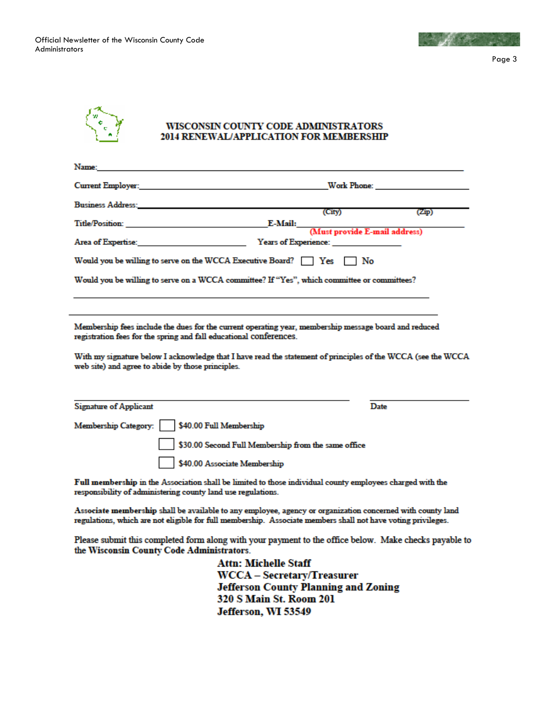Official Newsletter of the Wisconsin County Code Administrators



Page 3



#### WISCONSIN COUNTY CODE ADMINISTRATORS 2014 RENEWAL/APPLICATION FOR MEMBERSHIP

| Name:                                                                                                                                                                                                                                |                                                     |             |
|--------------------------------------------------------------------------------------------------------------------------------------------------------------------------------------------------------------------------------------|-----------------------------------------------------|-------------|
| <b>Current Employer:</b> The contract of the contract of the contract of the contract of the contract of the contract of the contract of the contract of the contract of the contract of the contract of the contract of the contra  |                                                     | Work Phone: |
| <b>Business Address: Executive Service Service Service Service Service Service Service Service Service Service Service Service Service Service Service Service Service Service Service Service Service Service Service Service S</b> | (City)                                              | (Zip)       |
| Title/Position: E-Mail:                                                                                                                                                                                                              | .<br>(Must provide E-mail address)                  |             |
| Area of Expertise: The contract of Expertises of Expertises                                                                                                                                                                          | <b>Years of Experience:</b>                         |             |
| Would you be willing to serve on the WCCA Executive Board? $\Box$ Yes $\Box$ No                                                                                                                                                      |                                                     |             |
| Would you be willing to serve on a WCCA committee? If "Yes", which committee or committees?                                                                                                                                          |                                                     |             |
|                                                                                                                                                                                                                                      |                                                     |             |
| Membership fees include the dues for the current operating year, membership message board and reduced<br>registration fees for the spring and fall educational conferences.                                                          |                                                     |             |
| With my signature below I acknowledge that I have read the statement of principles of the WCCA (see the WCCA<br>web site) and agree to abide by those principles.                                                                    |                                                     |             |
|                                                                                                                                                                                                                                      |                                                     |             |
| <b>Signature of Applicant</b>                                                                                                                                                                                                        | Date                                                |             |
| \$40.00 Full Membership<br>Membership Category:                                                                                                                                                                                      |                                                     |             |
|                                                                                                                                                                                                                                      | \$30.00 Second Full Membership from the same office |             |
| \$40.00 Associate Membership                                                                                                                                                                                                         |                                                     |             |

Full membership in the Association shall be limited to those individual county employees charged with the responsibility of administering county land use regulations.

Associate membership shall be available to any employee, agency or organization concerned with county land regulations, which are not eligible for full membership. Associate members shall not have voting privileges.

Please submit this completed form along with your payment to the office below. Make checks payable to the Wisconsin County Code Administrators.

> **Attn: Michelle Staff WCCA - Secretary/Treasurer Jefferson County Planning and Zoning** 320 S Main St. Room 201 Jefferson, WI 53549